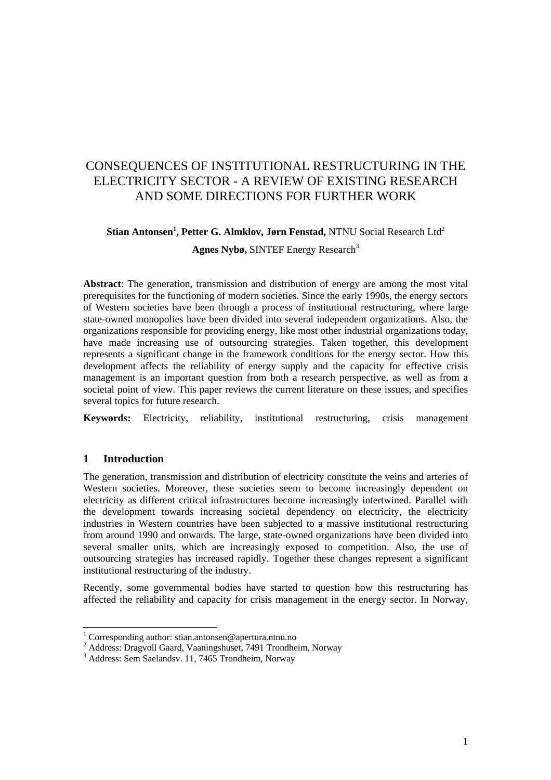# CONSEQUENCES OF INSTITUTIONAL RESTRUCTURING IN THE ELECTRICITY SECTOR - A REVIEW OF EXISTING RESEARCH AND SOME DIRECTIONS FOR FURTHER WORK

## **Stian Antonsen<sup>1</sup> , Petter G. Almklov, Jørn Fenstad,** NTNU Social Research Ltd<sup>2</sup> Agnes Nybø, SINTEF Energy Research<sup>3</sup>

**Abstract**: The generation, transmission and distribution of energy are among the most vital prerequisites for the functioning of modern societies. Since the early 1990s, the energy sectors of Western societies have been through a process of institutional restructuring, where large state-owned monopolies have been divided into several independent organizations. Also, the organizations responsible for providing energy, like most other industrial organizations today, have made increasing use of outsourcing strategies. Taken together, this development represents a significant change in the framework conditions for the energy sector. How this development affects the reliability of energy supply and the capacity for effective crisis management is an important question from both a research perspective, as well as from a societal point of view. This paper reviews the current literature on these issues, and specifies several topics for future research.

**Keywords:** Electricity, reliability, institutional restructuring, crisis management

## **1 Introduction**

The generation, transmission and distribution of electricity constitute the veins and arteries of Western societies. Moreover, these societies seem to become increasingly dependent on electricity as different critical infrastructures become increasingly intertwined. Parallel with the development towards increasing societal dependency on electricity, the electricity industries in Western countries have been subjected to a massive institutional restructuring from around 1990 and onwards. The large, state-owned organizations have been divided into several smaller units, which are increasingly exposed to competition. Also, the use of outsourcing strategies has increased rapidly. Together these changes represent a significant institutional restructuring of the industry.

Recently, some governmental bodies have started to question how this restructuring has affected the reliability and capacity for crisis management in the energy sector. In Norway,

 1 Corresponding author: stian.antonsen@apertura.ntnu.no

<sup>&</sup>lt;sup>2</sup> Address: Dragvoll Gaard, Vaaningshuset, 7491 Trondheim, Norway 3, Address: Som Seelanday, 11, 7465 Trondheim, Norway

<sup>&</sup>lt;sup>3</sup> Address: Sem Saelandsv. 11, 7465 Trondheim, Norway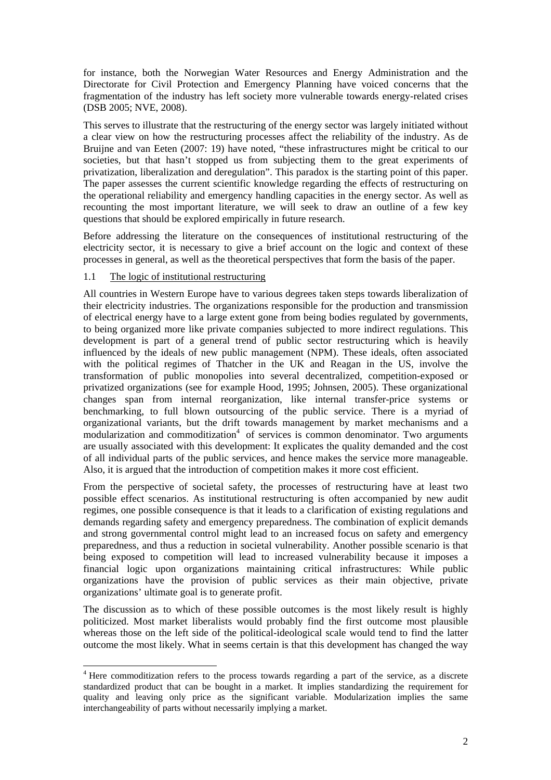for instance, both the Norwegian Water Resources and Energy Administration and the Directorate for Civil Protection and Emergency Planning have voiced concerns that the fragmentation of the industry has left society more vulnerable towards energy-related crises (DSB 2005; NVE, 2008).

This serves to illustrate that the restructuring of the energy sector was largely initiated without a clear view on how the restructuring processes affect the reliability of the industry. As de Bruijne and van Eeten (2007: 19) have noted, "these infrastructures might be critical to our societies, but that hasn't stopped us from subjecting them to the great experiments of privatization, liberalization and deregulation". This paradox is the starting point of this paper. The paper assesses the current scientific knowledge regarding the effects of restructuring on the operational reliability and emergency handling capacities in the energy sector. As well as recounting the most important literature, we will seek to draw an outline of a few key questions that should be explored empirically in future research.

Before addressing the literature on the consequences of institutional restructuring of the electricity sector, it is necessary to give a brief account on the logic and context of these processes in general, as well as the theoretical perspectives that form the basis of the paper.

#### 1.1 The logic of institutional restructuring

l

All countries in Western Europe have to various degrees taken steps towards liberalization of their electricity industries. The organizations responsible for the production and transmission of electrical energy have to a large extent gone from being bodies regulated by governments, to being organized more like private companies subjected to more indirect regulations. This development is part of a general trend of public sector restructuring which is heavily influenced by the ideals of new public management (NPM). These ideals, often associated with the political regimes of Thatcher in the UK and Reagan in the US, involve the transformation of public monopolies into several decentralized, competition-exposed or privatized organizations (see for example Hood, 1995; Johnsen, 2005). These organizational changes span from internal reorganization, like internal transfer-price systems or benchmarking, to full blown outsourcing of the public service. There is a myriad of organizational variants, but the drift towards management by market mechanisms and a modularization and commoditization<sup>4</sup> of services is common denominator. Two arguments are usually associated with this development: It explicates the quality demanded and the cost of all individual parts of the public services, and hence makes the service more manageable. Also, it is argued that the introduction of competition makes it more cost efficient.

From the perspective of societal safety, the processes of restructuring have at least two possible effect scenarios. As institutional restructuring is often accompanied by new audit regimes, one possible consequence is that it leads to a clarification of existing regulations and demands regarding safety and emergency preparedness. The combination of explicit demands and strong governmental control might lead to an increased focus on safety and emergency preparedness, and thus a reduction in societal vulnerability. Another possible scenario is that being exposed to competition will lead to increased vulnerability because it imposes a financial logic upon organizations maintaining critical infrastructures: While public organizations have the provision of public services as their main objective, private organizations' ultimate goal is to generate profit.

The discussion as to which of these possible outcomes is the most likely result is highly politicized. Most market liberalists would probably find the first outcome most plausible whereas those on the left side of the political-ideological scale would tend to find the latter outcome the most likely. What in seems certain is that this development has changed the way

<sup>&</sup>lt;sup>4</sup> Here commoditization refers to the process towards regarding a part of the service, as a discrete standardized product that can be bought in a market. It implies standardizing the requirement for quality and leaving only price as the significant variable. Modularization implies the same interchangeability of parts without necessarily implying a market.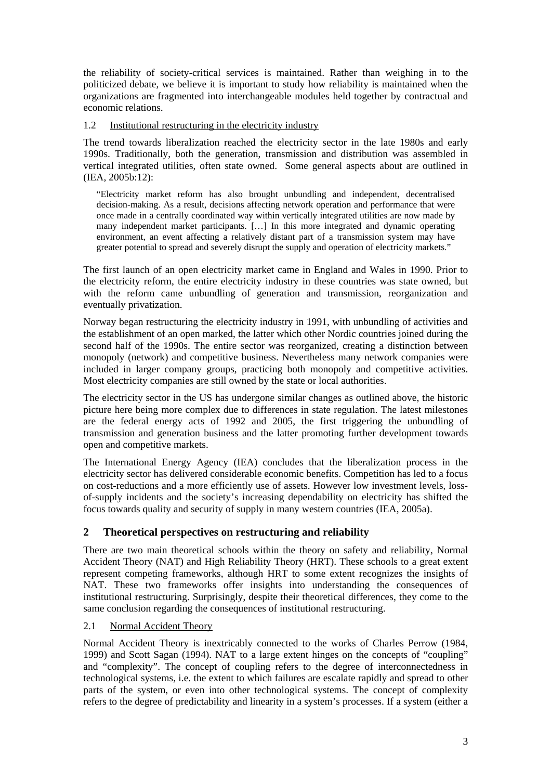the reliability of society-critical services is maintained. Rather than weighing in to the politicized debate, we believe it is important to study how reliability is maintained when the organizations are fragmented into interchangeable modules held together by contractual and economic relations.

### 1.2 Institutional restructuring in the electricity industry

The trend towards liberalization reached the electricity sector in the late 1980s and early 1990s. Traditionally, both the generation, transmission and distribution was assembled in vertical integrated utilities, often state owned. Some general aspects about are outlined in (IEA, 2005b:12):

"Electricity market reform has also brought unbundling and independent, decentralised decision-making. As a result, decisions affecting network operation and performance that were once made in a centrally coordinated way within vertically integrated utilities are now made by many independent market participants. […] In this more integrated and dynamic operating environment, an event affecting a relatively distant part of a transmission system may have greater potential to spread and severely disrupt the supply and operation of electricity markets."

The first launch of an open electricity market came in England and Wales in 1990. Prior to the electricity reform, the entire electricity industry in these countries was state owned, but with the reform came unbundling of generation and transmission, reorganization and eventually privatization.

Norway began restructuring the electricity industry in 1991, with unbundling of activities and the establishment of an open marked, the latter which other Nordic countries joined during the second half of the 1990s. The entire sector was reorganized, creating a distinction between monopoly (network) and competitive business. Nevertheless many network companies were included in larger company groups, practicing both monopoly and competitive activities. Most electricity companies are still owned by the state or local authorities.

The electricity sector in the US has undergone similar changes as outlined above, the historic picture here being more complex due to differences in state regulation. The latest milestones are the federal energy acts of 1992 and 2005, the first triggering the unbundling of transmission and generation business and the latter promoting further development towards open and competitive markets.

The International Energy Agency (IEA) concludes that the liberalization process in the electricity sector has delivered considerable economic benefits. Competition has led to a focus on cost-reductions and a more efficiently use of assets. However low investment levels, lossof-supply incidents and the society's increasing dependability on electricity has shifted the focus towards quality and security of supply in many western countries (IEA, 2005a).

## **2 Theoretical perspectives on restructuring and reliability**

There are two main theoretical schools within the theory on safety and reliability, Normal Accident Theory (NAT) and High Reliability Theory (HRT). These schools to a great extent represent competing frameworks, although HRT to some extent recognizes the insights of NAT. These two frameworks offer insights into understanding the consequences of institutional restructuring. Surprisingly, despite their theoretical differences, they come to the same conclusion regarding the consequences of institutional restructuring.

## 2.1 Normal Accident Theory

Normal Accident Theory is inextricably connected to the works of Charles Perrow (1984, 1999) and Scott Sagan (1994). NAT to a large extent hinges on the concepts of "coupling" and "complexity". The concept of coupling refers to the degree of interconnectedness in technological systems, i.e. the extent to which failures are escalate rapidly and spread to other parts of the system, or even into other technological systems. The concept of complexity refers to the degree of predictability and linearity in a system's processes. If a system (either a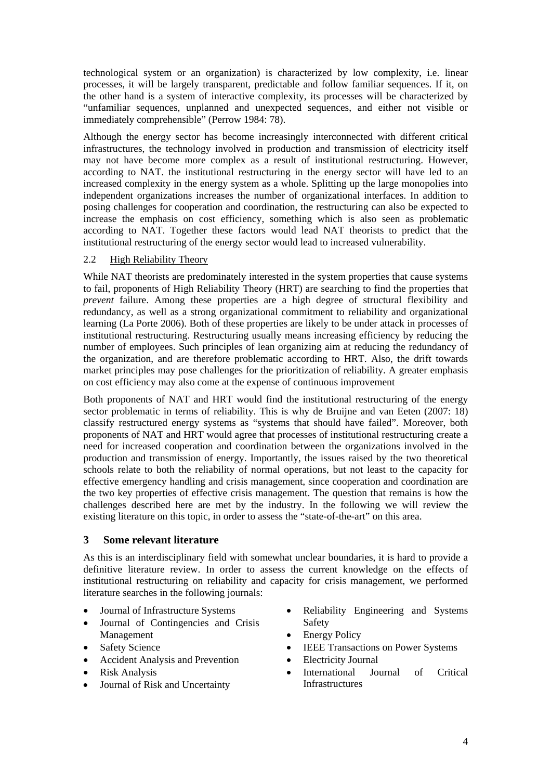technological system or an organization) is characterized by low complexity, i.e. linear processes, it will be largely transparent, predictable and follow familiar sequences. If it, on the other hand is a system of interactive complexity, its processes will be characterized by "unfamiliar sequences, unplanned and unexpected sequences, and either not visible or immediately comprehensible" (Perrow 1984: 78).

Although the energy sector has become increasingly interconnected with different critical infrastructures, the technology involved in production and transmission of electricity itself may not have become more complex as a result of institutional restructuring. However, according to NAT. the institutional restructuring in the energy sector will have led to an increased complexity in the energy system as a whole. Splitting up the large monopolies into independent organizations increases the number of organizational interfaces. In addition to posing challenges for cooperation and coordination, the restructuring can also be expected to increase the emphasis on cost efficiency, something which is also seen as problematic according to NAT. Together these factors would lead NAT theorists to predict that the institutional restructuring of the energy sector would lead to increased vulnerability.

## 2.2 High Reliability Theory

While NAT theorists are predominately interested in the system properties that cause systems to fail, proponents of High Reliability Theory (HRT) are searching to find the properties that *prevent* failure. Among these properties are a high degree of structural flexibility and redundancy, as well as a strong organizational commitment to reliability and organizational learning (La Porte 2006). Both of these properties are likely to be under attack in processes of institutional restructuring. Restructuring usually means increasing efficiency by reducing the number of employees. Such principles of lean organizing aim at reducing the redundancy of the organization, and are therefore problematic according to HRT. Also, the drift towards market principles may pose challenges for the prioritization of reliability. A greater emphasis on cost efficiency may also come at the expense of continuous improvement

Both proponents of NAT and HRT would find the institutional restructuring of the energy sector problematic in terms of reliability. This is why de Bruijne and van Eeten (2007: 18) classify restructured energy systems as "systems that should have failed". Moreover, both proponents of NAT and HRT would agree that processes of institutional restructuring create a need for increased cooperation and coordination between the organizations involved in the production and transmission of energy. Importantly, the issues raised by the two theoretical schools relate to both the reliability of normal operations, but not least to the capacity for effective emergency handling and crisis management, since cooperation and coordination are the two key properties of effective crisis management. The question that remains is how the challenges described here are met by the industry. In the following we will review the existing literature on this topic, in order to assess the "state-of-the-art" on this area.

#### **3 Some relevant literature**

As this is an interdisciplinary field with somewhat unclear boundaries, it is hard to provide a definitive literature review. In order to assess the current knowledge on the effects of institutional restructuring on reliability and capacity for crisis management, we performed literature searches in the following journals:

- Journal of Infrastructure Systems
- Journal of Contingencies and Crisis Management
- Safety Science
- Accident Analysis and Prevention
- Risk Analysis
- Journal of Risk and Uncertainty
- Reliability Engineering and Systems Safety
- Energy Policy
- **IEEE Transactions on Power Systems**
- Electricity Journal
- International Journal of Critical Infrastructures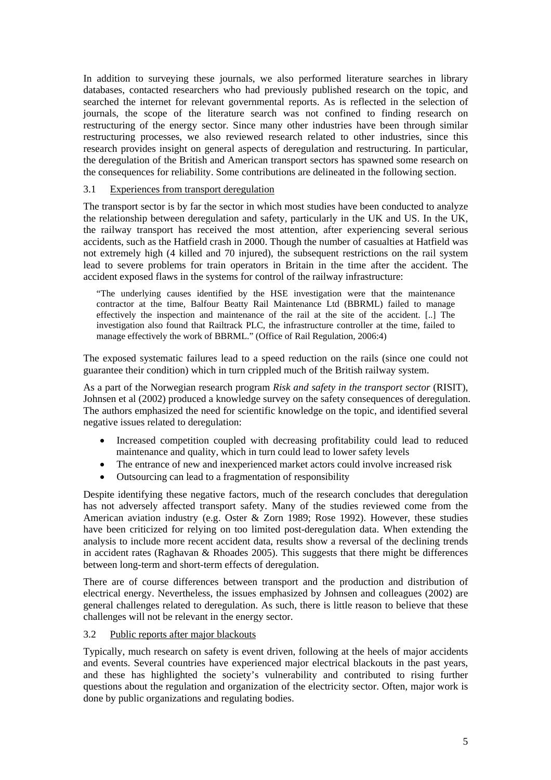In addition to surveying these journals, we also performed literature searches in library databases, contacted researchers who had previously published research on the topic, and searched the internet for relevant governmental reports. As is reflected in the selection of journals, the scope of the literature search was not confined to finding research on restructuring of the energy sector. Since many other industries have been through similar restructuring processes, we also reviewed research related to other industries, since this research provides insight on general aspects of deregulation and restructuring. In particular, the deregulation of the British and American transport sectors has spawned some research on the consequences for reliability. Some contributions are delineated in the following section.

#### 3.1 Experiences from transport deregulation

The transport sector is by far the sector in which most studies have been conducted to analyze the relationship between deregulation and safety, particularly in the UK and US. In the UK, the railway transport has received the most attention, after experiencing several serious accidents, such as the Hatfield crash in 2000. Though the number of casualties at Hatfield was not extremely high (4 killed and 70 injured), the subsequent restrictions on the rail system lead to severe problems for train operators in Britain in the time after the accident. The accident exposed flaws in the systems for control of the railway infrastructure:

"The underlying causes identified by the HSE investigation were that the maintenance contractor at the time, Balfour Beatty Rail Maintenance Ltd (BBRML) failed to manage effectively the inspection and maintenance of the rail at the site of the accident. [..] The investigation also found that Railtrack PLC, the infrastructure controller at the time, failed to manage effectively the work of BBRML." (Office of Rail Regulation, 2006:4)

The exposed systematic failures lead to a speed reduction on the rails (since one could not guarantee their condition) which in turn crippled much of the British railway system.

As a part of the Norwegian research program *Risk and safety in the transport sector* (RISIT), Johnsen et al (2002) produced a knowledge survey on the safety consequences of deregulation. The authors emphasized the need for scientific knowledge on the topic, and identified several negative issues related to deregulation:

- Increased competition coupled with decreasing profitability could lead to reduced maintenance and quality, which in turn could lead to lower safety levels
- The entrance of new and inexperienced market actors could involve increased risk
- Outsourcing can lead to a fragmentation of responsibility

Despite identifying these negative factors, much of the research concludes that deregulation has not adversely affected transport safety. Many of the studies reviewed come from the American aviation industry (e.g. Oster & Zorn 1989; Rose 1992). However, these studies have been criticized for relying on too limited post-deregulation data. When extending the analysis to include more recent accident data, results show a reversal of the declining trends in accident rates (Raghavan & Rhoades 2005). This suggests that there might be differences between long-term and short-term effects of deregulation.

There are of course differences between transport and the production and distribution of electrical energy. Nevertheless, the issues emphasized by Johnsen and colleagues (2002) are general challenges related to deregulation. As such, there is little reason to believe that these challenges will not be relevant in the energy sector.

#### 3.2 Public reports after major blackouts

Typically, much research on safety is event driven, following at the heels of major accidents and events. Several countries have experienced major electrical blackouts in the past years, and these has highlighted the society's vulnerability and contributed to rising further questions about the regulation and organization of the electricity sector. Often, major work is done by public organizations and regulating bodies.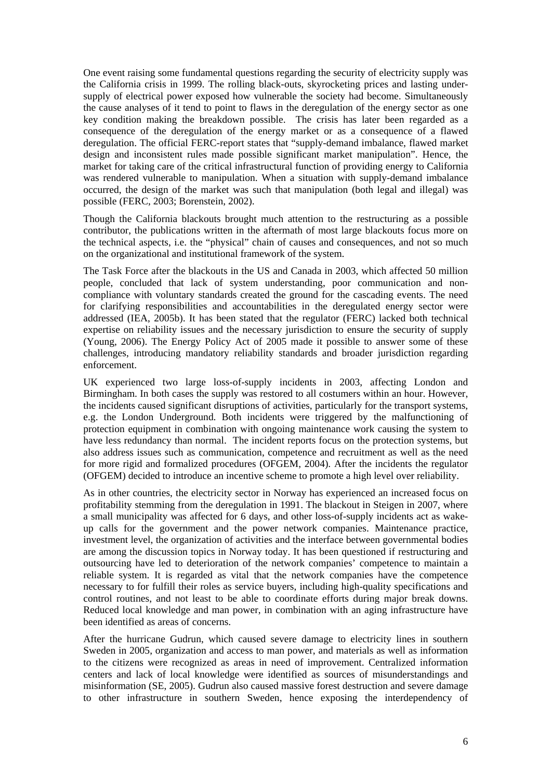One event raising some fundamental questions regarding the security of electricity supply was the California crisis in 1999. The rolling black-outs, skyrocketing prices and lasting undersupply of electrical power exposed how vulnerable the society had become. Simultaneously the cause analyses of it tend to point to flaws in the deregulation of the energy sector as one key condition making the breakdown possible. The crisis has later been regarded as a consequence of the deregulation of the energy market or as a consequence of a flawed deregulation. The official FERC-report states that "supply-demand imbalance, flawed market design and inconsistent rules made possible significant market manipulation". Hence, the market for taking care of the critical infrastructural function of providing energy to California was rendered vulnerable to manipulation. When a situation with supply-demand imbalance occurred, the design of the market was such that manipulation (both legal and illegal) was possible (FERC, 2003; Borenstein, 2002).

Though the California blackouts brought much attention to the restructuring as a possible contributor, the publications written in the aftermath of most large blackouts focus more on the technical aspects, i.e. the "physical" chain of causes and consequences, and not so much on the organizational and institutional framework of the system.

The Task Force after the blackouts in the US and Canada in 2003, which affected 50 million people, concluded that lack of system understanding, poor communication and noncompliance with voluntary standards created the ground for the cascading events. The need for clarifying responsibilities and accountabilities in the deregulated energy sector were addressed (IEA, 2005b). It has been stated that the regulator (FERC) lacked both technical expertise on reliability issues and the necessary jurisdiction to ensure the security of supply (Young, 2006). The Energy Policy Act of 2005 made it possible to answer some of these challenges, introducing mandatory reliability standards and broader jurisdiction regarding enforcement.

UK experienced two large loss-of-supply incidents in 2003, affecting London and Birmingham. In both cases the supply was restored to all costumers within an hour. However, the incidents caused significant disruptions of activities, particularly for the transport systems, e.g. the London Underground. Both incidents were triggered by the malfunctioning of protection equipment in combination with ongoing maintenance work causing the system to have less redundancy than normal. The incident reports focus on the protection systems, but also address issues such as communication, competence and recruitment as well as the need for more rigid and formalized procedures (OFGEM, 2004). After the incidents the regulator (OFGEM) decided to introduce an incentive scheme to promote a high level over reliability.

As in other countries, the electricity sector in Norway has experienced an increased focus on profitability stemming from the deregulation in 1991. The blackout in Steigen in 2007, where a small municipality was affected for 6 days, and other loss-of-supply incidents act as wakeup calls for the government and the power network companies. Maintenance practice, investment level, the organization of activities and the interface between governmental bodies are among the discussion topics in Norway today. It has been questioned if restructuring and outsourcing have led to deterioration of the network companies' competence to maintain a reliable system. It is regarded as vital that the network companies have the competence necessary to for fulfill their roles as service buyers, including high-quality specifications and control routines, and not least to be able to coordinate efforts during major break downs. Reduced local knowledge and man power, in combination with an aging infrastructure have been identified as areas of concerns.

After the hurricane Gudrun, which caused severe damage to electricity lines in southern Sweden in 2005, organization and access to man power, and materials as well as information to the citizens were recognized as areas in need of improvement. Centralized information centers and lack of local knowledge were identified as sources of misunderstandings and misinformation (SE, 2005). Gudrun also caused massive forest destruction and severe damage to other infrastructure in southern Sweden, hence exposing the interdependency of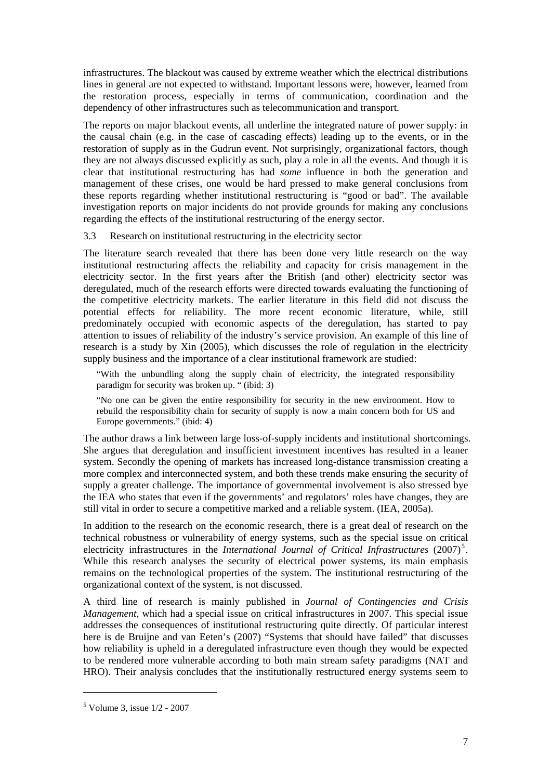infrastructures. The blackout was caused by extreme weather which the electrical distributions lines in general are not expected to withstand. Important lessons were, however, learned from the restoration process, especially in terms of communication, coordination and the dependency of other infrastructures such as telecommunication and transport.

The reports on major blackout events, all underline the integrated nature of power supply: in the causal chain (e.g. in the case of cascading effects) leading up to the events, or in the restoration of supply as in the Gudrun event. Not surprisingly, organizational factors, though they are not always discussed explicitly as such, play a role in all the events. And though it is clear that institutional restructuring has had *some* influence in both the generation and management of these crises, one would be hard pressed to make general conclusions from these reports regarding whether institutional restructuring is "good or bad". The available investigation reports on major incidents do not provide grounds for making any conclusions regarding the effects of the institutional restructuring of the energy sector.

#### 3.3 Research on institutional restructuring in the electricity sector

The literature search revealed that there has been done very little research on the way institutional restructuring affects the reliability and capacity for crisis management in the electricity sector. In the first years after the British (and other) electricity sector was deregulated, much of the research efforts were directed towards evaluating the functioning of the competitive electricity markets. The earlier literature in this field did not discuss the potential effects for reliability. The more recent economic literature, while, still predominately occupied with economic aspects of the deregulation, has started to pay attention to issues of reliability of the industry's service provision. An example of this line of research is a study by Xin (2005), which discusses the role of regulation in the electricity supply business and the importance of a clear institutional framework are studied:

"With the unbundling along the supply chain of electricity, the integrated responsibility paradigm for security was broken up. " (ibid: 3)

"No one can be given the entire responsibility for security in the new environment. How to rebuild the responsibility chain for security of supply is now a main concern both for US and Europe governments." (ibid: 4)

The author draws a link between large loss-of-supply incidents and institutional shortcomings. She argues that deregulation and insufficient investment incentives has resulted in a leaner system. Secondly the opening of markets has increased long-distance transmission creating a more complex and interconnected system, and both these trends make ensuring the security of supply a greater challenge. The importance of governmental involvement is also stressed bye the IEA who states that even if the governments' and regulators' roles have changes, they are still vital in order to secure a competitive marked and a reliable system. (IEA, 2005a).

In addition to the research on the economic research, there is a great deal of research on the technical robustness or vulnerability of energy systems, such as the special issue on critical electricity infrastructures in the *International Journal of Critical Infrastructures* (2007)<sup>5</sup>. While this research analyses the security of electrical power systems, its main emphasis remains on the technological properties of the system. The institutional restructuring of the organizational context of the system, is not discussed.

A third line of research is mainly published in *Journal of Contingencies and Crisis Management*, which had a special issue on critical infrastructures in 2007. This special issue addresses the consequences of institutional restructuring quite directly. Of particular interest here is de Bruijne and van Eeten's (2007) "Systems that should have failed" that discusses how reliability is upheld in a deregulated infrastructure even though they would be expected to be rendered more vulnerable according to both main stream safety paradigms (NAT and HRO). Their analysis concludes that the institutionally restructured energy systems seem to

l

<sup>5</sup> Volume 3, issue 1/2 - 2007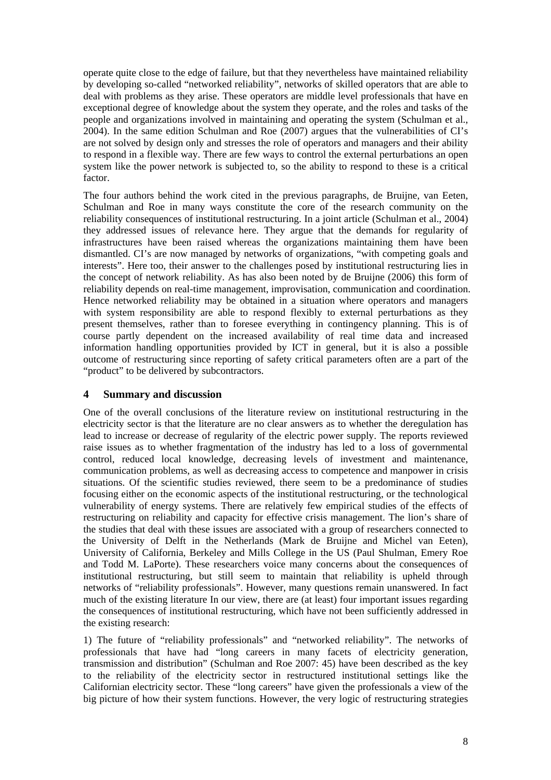operate quite close to the edge of failure, but that they nevertheless have maintained reliability by developing so-called "networked reliability", networks of skilled operators that are able to deal with problems as they arise. These operators are middle level professionals that have en exceptional degree of knowledge about the system they operate, and the roles and tasks of the people and organizations involved in maintaining and operating the system (Schulman et al., 2004). In the same edition Schulman and Roe (2007) argues that the vulnerabilities of CI's are not solved by design only and stresses the role of operators and managers and their ability to respond in a flexible way. There are few ways to control the external perturbations an open system like the power network is subjected to, so the ability to respond to these is a critical factor.

The four authors behind the work cited in the previous paragraphs, de Bruijne, van Eeten, Schulman and Roe in many ways constitute the core of the research community on the reliability consequences of institutional restructuring. In a joint article (Schulman et al., 2004) they addressed issues of relevance here. They argue that the demands for regularity of infrastructures have been raised whereas the organizations maintaining them have been dismantled. CI's are now managed by networks of organizations, "with competing goals and interests". Here too, their answer to the challenges posed by institutional restructuring lies in the concept of network reliability. As has also been noted by de Bruijne (2006) this form of reliability depends on real-time management, improvisation, communication and coordination. Hence networked reliability may be obtained in a situation where operators and managers with system responsibility are able to respond flexibly to external perturbations as they present themselves, rather than to foresee everything in contingency planning. This is of course partly dependent on the increased availability of real time data and increased information handling opportunities provided by ICT in general, but it is also a possible outcome of restructuring since reporting of safety critical parameters often are a part of the "product" to be delivered by subcontractors.

## **4 Summary and discussion**

One of the overall conclusions of the literature review on institutional restructuring in the electricity sector is that the literature are no clear answers as to whether the deregulation has lead to increase or decrease of regularity of the electric power supply. The reports reviewed raise issues as to whether fragmentation of the industry has led to a loss of governmental control, reduced local knowledge, decreasing levels of investment and maintenance, communication problems, as well as decreasing access to competence and manpower in crisis situations. Of the scientific studies reviewed, there seem to be a predominance of studies focusing either on the economic aspects of the institutional restructuring, or the technological vulnerability of energy systems. There are relatively few empirical studies of the effects of restructuring on reliability and capacity for effective crisis management. The lion's share of the studies that deal with these issues are associated with a group of researchers connected to the University of Delft in the Netherlands (Mark de Bruijne and Michel van Eeten), University of California, Berkeley and Mills College in the US (Paul Shulman, Emery Roe and Todd M. LaPorte). These researchers voice many concerns about the consequences of institutional restructuring, but still seem to maintain that reliability is upheld through networks of "reliability professionals". However, many questions remain unanswered. In fact much of the existing literature In our view, there are (at least) four important issues regarding the consequences of institutional restructuring, which have not been sufficiently addressed in the existing research:

1) The future of "reliability professionals" and "networked reliability". The networks of professionals that have had "long careers in many facets of electricity generation, transmission and distribution" (Schulman and Roe 2007: 45) have been described as the key to the reliability of the electricity sector in restructured institutional settings like the Californian electricity sector. These "long careers" have given the professionals a view of the big picture of how their system functions. However, the very logic of restructuring strategies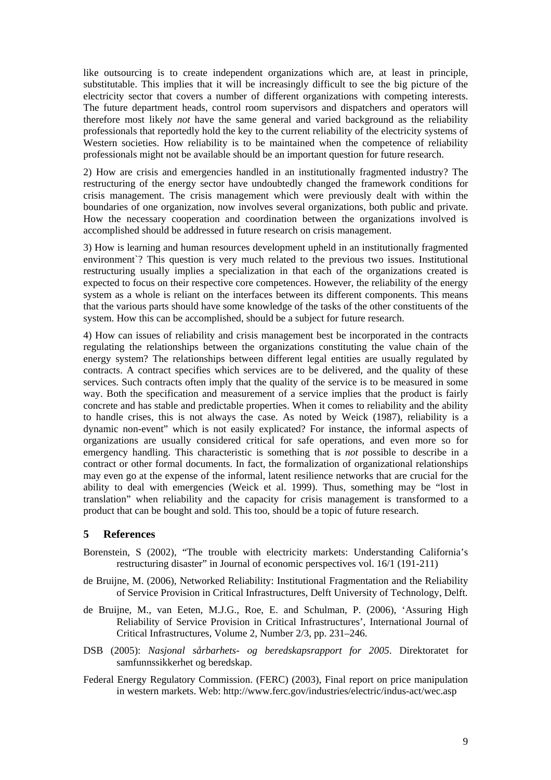like outsourcing is to create independent organizations which are, at least in principle, substitutable. This implies that it will be increasingly difficult to see the big picture of the electricity sector that covers a number of different organizations with competing interests. The future department heads, control room supervisors and dispatchers and operators will therefore most likely *not* have the same general and varied background as the reliability professionals that reportedly hold the key to the current reliability of the electricity systems of Western societies. How reliability is to be maintained when the competence of reliability professionals might not be available should be an important question for future research.

2) How are crisis and emergencies handled in an institutionally fragmented industry? The restructuring of the energy sector have undoubtedly changed the framework conditions for crisis management. The crisis management which were previously dealt with within the boundaries of one organization, now involves several organizations, both public and private. How the necessary cooperation and coordination between the organizations involved is accomplished should be addressed in future research on crisis management.

3) How is learning and human resources development upheld in an institutionally fragmented environment<sup>?</sup> This question is very much related to the previous two issues. Institutional restructuring usually implies a specialization in that each of the organizations created is expected to focus on their respective core competences. However, the reliability of the energy system as a whole is reliant on the interfaces between its different components. This means that the various parts should have some knowledge of the tasks of the other constituents of the system. How this can be accomplished, should be a subject for future research.

4) How can issues of reliability and crisis management best be incorporated in the contracts regulating the relationships between the organizations constituting the value chain of the energy system? The relationships between different legal entities are usually regulated by contracts. A contract specifies which services are to be delivered, and the quality of these services. Such contracts often imply that the quality of the service is to be measured in some way. Both the specification and measurement of a service implies that the product is fairly concrete and has stable and predictable properties. When it comes to reliability and the ability to handle crises, this is not always the case. As noted by Weick (1987), reliability is a dynamic non-event" which is not easily explicated? For instance, the informal aspects of organizations are usually considered critical for safe operations, and even more so for emergency handling. This characteristic is something that is *not* possible to describe in a contract or other formal documents. In fact, the formalization of organizational relationships may even go at the expense of the informal, latent resilience networks that are crucial for the ability to deal with emergencies (Weick et al. 1999). Thus, something may be "lost in translation" when reliability and the capacity for crisis management is transformed to a product that can be bought and sold. This too, should be a topic of future research.

#### **5 References**

- Borenstein, S (2002), "The trouble with electricity markets: Understanding California's restructuring disaster" in Journal of economic perspectives vol. 16/1 (191-211)
- de Bruijne, M. (2006), Networked Reliability: Institutional Fragmentation and the Reliability of Service Provision in Critical Infrastructures, Delft University of Technology, Delft.
- de Bruijne, M., van Eeten, M.J.G., Roe, E. and Schulman, P. (2006), 'Assuring High Reliability of Service Provision in Critical Infrastructures', International Journal of Critical Infrastructures, Volume 2, Number 2/3, pp. 231–246.
- DSB (2005): *Nasjonal sårbarhets- og beredskapsrapport for 2005*. Direktoratet for samfunnssikkerhet og beredskap.
- Federal Energy Regulatory Commission. (FERC) (2003), Final report on price manipulation in western markets. Web: http://www.ferc.gov/industries/electric/indus-act/wec.asp